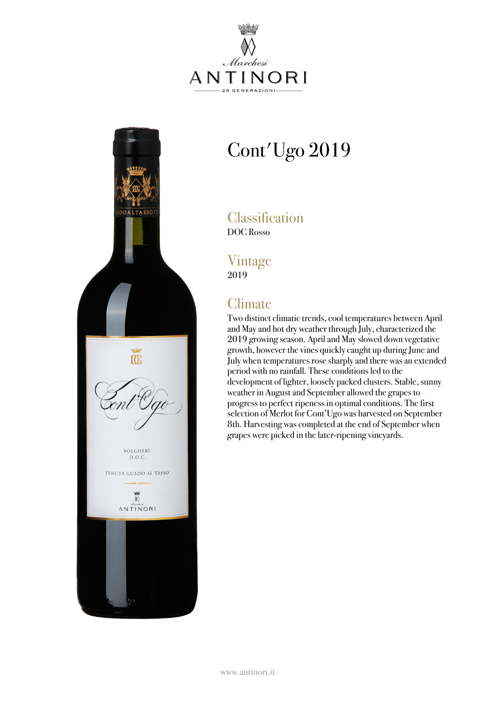



# Cont'Ugo 2019

**Classification** DOC Rosso

#### Vintage 2019

## **Climate**

Two distinct climatic trends, cool temperatures between April and Mayand hot dry weather through July, characterized the 2019 growing season. Apriland Mayslowed down vegetative growth, however the vines quickly caught up during June and July when temperatures rose sharplyand there wasan extended period with no rainfall. These conditions led to the development of lighter, loosely packed clusters. Stable, sunny weather in Augustand Septemberallowed the grapes to progress to perfect ripeness in optimal conditions. The first selection of Merlot for Cont'Ugo was harvested on September 8th. Harvesting was completed at the end of September when grapes were picked in the later-ripening vineyards.